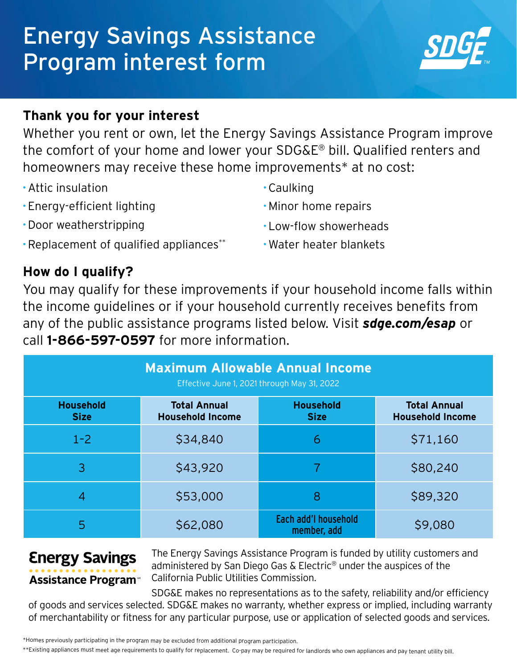# Energy Savings Assistance Program interest form



## **Thank you for your interest**

Whether you rent or own, let the Energy Savings Assistance Program improve the comfort of your home and lower your SDG&E® bill. Qualified renters and homeowners may receive these home improvements\* at no cost:

- **·**Attic insulation
- **·** Energy-efficient lighting
- **·**Door weatherstripping
- **·**Caulking
- **·**Minor home repairs
- **·** Low-flow showerheads

**·** Water heater blankets

**·**Replacement of qualified appliances\*\*

## **How do I qualify?**

You may qualify for these improvements if your household income falls within the income guidelines or if your household currently receives benefits from any of the public assistance programs listed below. Visit *sdge.com/esap* or call **1-866-597-0597** for more information.

| <b>Maximum Allowable Annual Income</b><br>Effective June 1, 2021 through May 31, 2022 |                                                |                                     |                                                |  |
|---------------------------------------------------------------------------------------|------------------------------------------------|-------------------------------------|------------------------------------------------|--|
| <b>Household</b><br><b>Size</b>                                                       | <b>Total Annual</b><br><b>Household Income</b> | <b>Household</b><br><b>Size</b>     | <b>Total Annual</b><br><b>Household Income</b> |  |
| $1 - 2$                                                                               | \$34,840                                       | 6                                   | \$71,160                                       |  |
| 3                                                                                     | \$43,920                                       |                                     | \$80,240                                       |  |
| 4                                                                                     | \$53,000                                       | 8                                   | \$89,320                                       |  |
| 5                                                                                     | \$62,080                                       | Each add'l household<br>member, add | \$9,080                                        |  |

# **Energy Savings Assistance Program**<sup>®</sup>

The Energy Savings Assistance Program is funded by utility customers and administered by San Diego Gas & Electric® under the auspices of the California Public Utilities Commission.

SDG&E makes no representations as to the safety, reliability and/or efficiency of goods and services selected. SDG&E makes no warranty, whether express or implied, including warranty of merchantability or fitness for any particular purpose, use or application of selected goods and services.

\*\*Existing appliances must meet age requirements to qualify for replacement. Co-pay may be required for landlords who own appliances and pay tenant utility bill.

<sup>\*</sup>Homes previously participating in the program may be excluded from additional program participation.